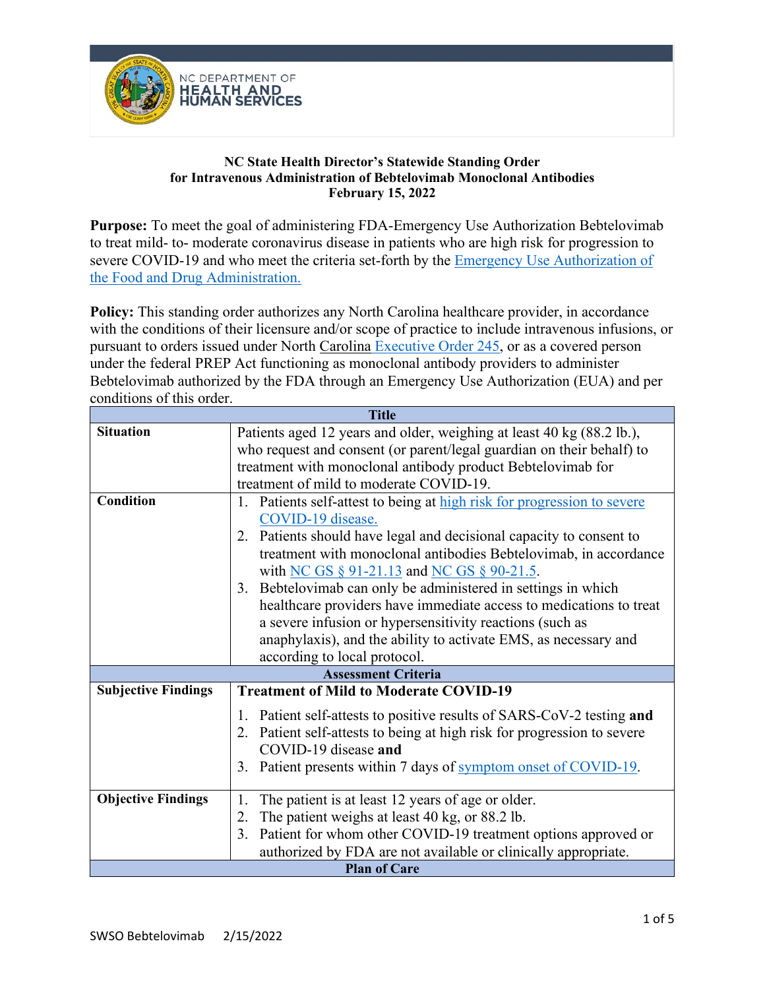

## **NC State Health Director's Statewide Standing Order for Intravenous Administration of Bebtelovimab Monoclonal Antibodies February 15, 2022**

**Purpose:** To meet the goal of administering FDA-Emergency Use Authorization Bebtelovimab to treat mild- to- moderate coronavirus disease in patients who are high risk for progression to severe COVID-19 and who meet the criteria set-forth by the [Emergency Use Authorization of](https://www.fda.gov/media/156151/download)  [the Food and Drug Administration.](https://www.fda.gov/media/156151/download)

**Policy:** This standing order authorizes any North Carolina healthcare provider, in accordance with the conditions of their licensure and/or scope of practice to include intravenous infusions, or pursuant to orders issued under North Carolina [Executive Order 245,](https://governor.nc.gov/media/2906/open) or as a covered person under the federal PREP Act functioning as monoclonal antibody providers to administer Bebtelovimab authorized by the FDA through an Emergency Use Authorization (EUA) and per conditions of this order.

| <b>Title</b>               |                                                                            |  |
|----------------------------|----------------------------------------------------------------------------|--|
| <b>Situation</b>           | Patients aged 12 years and older, weighing at least 40 kg (88.2 lb.),      |  |
|                            | who request and consent (or parent/legal guardian on their behalf) to      |  |
|                            | treatment with monoclonal antibody product Bebtelovimab for                |  |
|                            | treatment of mild to moderate COVID-19.                                    |  |
| <b>Condition</b>           | Patients self-attest to being at high risk for progression to severe<br>1. |  |
|                            | COVID-19 disease.                                                          |  |
|                            | 2. Patients should have legal and decisional capacity to consent to        |  |
|                            | treatment with monoclonal antibodies Bebtelovimab, in accordance           |  |
|                            | with NC GS § 91-21.13 and NC GS § 90-21.5.                                 |  |
|                            | 3. Bebtelovimab can only be administered in settings in which              |  |
|                            | healthcare providers have immediate access to medications to treat         |  |
|                            | a severe infusion or hypersensitivity reactions (such as                   |  |
|                            | anaphylaxis), and the ability to activate EMS, as necessary and            |  |
|                            | according to local protocol.                                               |  |
|                            | <b>Assessment Criteria</b>                                                 |  |
| <b>Subjective Findings</b> | <b>Treatment of Mild to Moderate COVID-19</b>                              |  |
|                            | 1. Patient self-attests to positive results of SARS-CoV-2 testing and      |  |
|                            | 2. Patient self-attests to being at high risk for progression to severe    |  |
|                            | COVID-19 disease and                                                       |  |
|                            | Patient presents within 7 days of symptom onset of COVID-19.<br>3.         |  |
|                            |                                                                            |  |
| <b>Objective Findings</b>  | The patient is at least 12 years of age or older.<br>1.                    |  |
|                            | 2. The patient weighs at least 40 kg, or 88.2 lb.                          |  |
|                            | 3. Patient for whom other COVID-19 treatment options approved or           |  |
|                            | authorized by FDA are not available or clinically appropriate.             |  |
| <b>Plan of Care</b>        |                                                                            |  |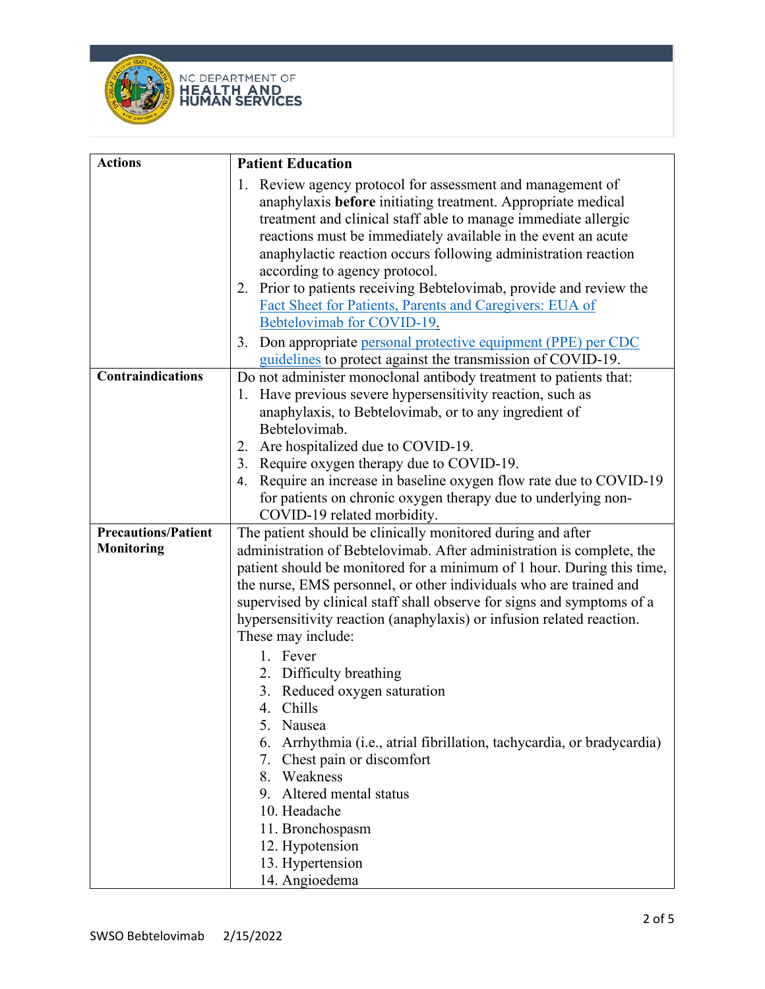



| <b>Actions</b>             | <b>Patient Education</b>                                                  |
|----------------------------|---------------------------------------------------------------------------|
|                            | 1. Review agency protocol for assessment and management of                |
|                            | anaphylaxis before initiating treatment. Appropriate medical              |
|                            | treatment and clinical staff able to manage immediate allergic            |
|                            | reactions must be immediately available in the event an acute             |
|                            | anaphylactic reaction occurs following administration reaction            |
|                            | according to agency protocol.                                             |
|                            | 2. Prior to patients receiving Bebtelovimab, provide and review the       |
|                            | Fact Sheet for Patients, Parents and Caregivers: EUA of                   |
|                            | Bebtelovimab for COVID-19.                                                |
|                            | Don appropriate personal protective equipment (PPE) per CDC<br>3.         |
|                            | guidelines to protect against the transmission of COVID-19.               |
| <b>Contraindications</b>   | Do not administer monoclonal antibody treatment to patients that:         |
|                            | Have previous severe hypersensitivity reaction, such as<br>1.             |
|                            | anaphylaxis, to Bebtelovimab, or to any ingredient of                     |
|                            | Bebtelovimab.                                                             |
|                            | Are hospitalized due to COVID-19.<br>2.                                   |
|                            | 3. Require oxygen therapy due to COVID-19.                                |
|                            | Require an increase in baseline oxygen flow rate due to COVID-19<br>4.    |
|                            | for patients on chronic oxygen therapy due to underlying non-             |
|                            | COVID-19 related morbidity.                                               |
| <b>Precautions/Patient</b> | The patient should be clinically monitored during and after               |
| <b>Monitoring</b>          | administration of Bebtelovimab. After administration is complete, the     |
|                            | patient should be monitored for a minimum of 1 hour. During this time,    |
|                            | the nurse, EMS personnel, or other individuals who are trained and        |
|                            | supervised by clinical staff shall observe for signs and symptoms of a    |
|                            | hypersensitivity reaction (anaphylaxis) or infusion related reaction.     |
|                            | These may include:                                                        |
|                            | 1. Fever                                                                  |
|                            | 2. Difficulty breathing                                                   |
|                            | 3. Reduced oxygen saturation                                              |
|                            | 4. Chills                                                                 |
|                            | Nausea<br>5.                                                              |
|                            | Arrhythmia (i.e., atrial fibrillation, tachycardia, or bradycardia)<br>6. |
|                            | 7. Chest pain or discomfort                                               |
|                            | 8. Weakness                                                               |
|                            | 9. Altered mental status                                                  |
|                            | 10. Headache                                                              |
|                            | 11. Bronchospasm                                                          |
|                            | 12. Hypotension                                                           |
|                            | 13. Hypertension                                                          |
|                            | 14. Angioedema                                                            |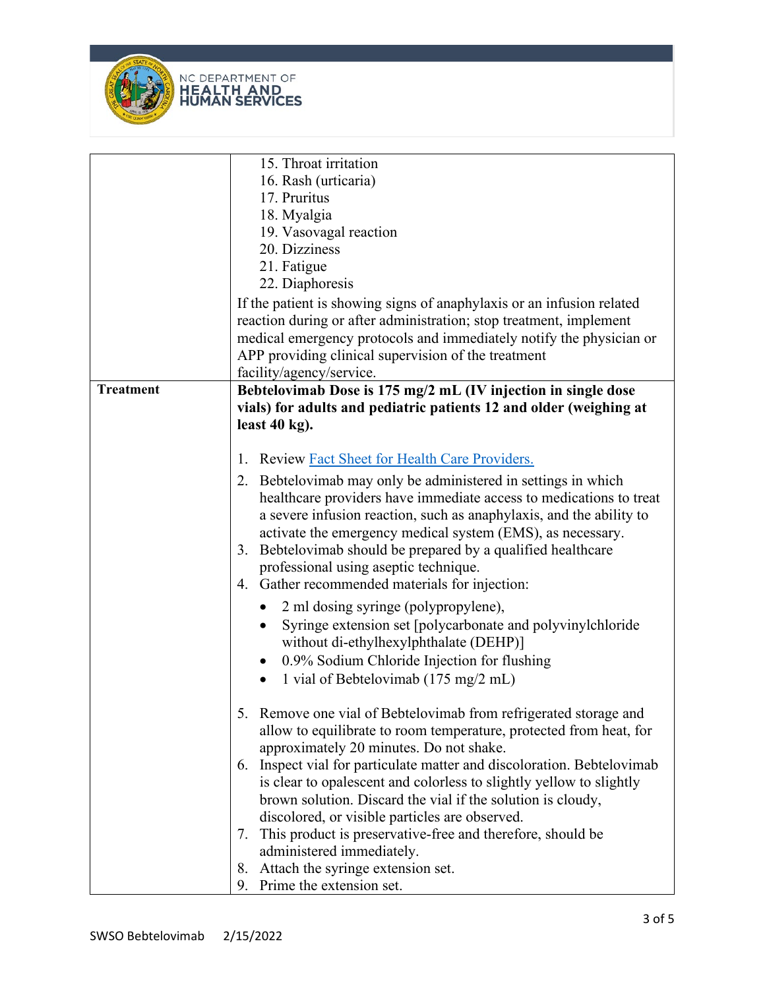



|                  | 15. Throat irritation<br>16. Rash (urticaria)<br>17. Pruritus<br>18. Myalgia<br>19. Vasovagal reaction<br>20. Dizziness<br>21. Fatigue<br>22. Diaphoresis                                                                                                                                                                                                                                                                                                                                                                                                                                                                                                                                                                                                     |
|------------------|---------------------------------------------------------------------------------------------------------------------------------------------------------------------------------------------------------------------------------------------------------------------------------------------------------------------------------------------------------------------------------------------------------------------------------------------------------------------------------------------------------------------------------------------------------------------------------------------------------------------------------------------------------------------------------------------------------------------------------------------------------------|
|                  | If the patient is showing signs of anaphylaxis or an infusion related<br>reaction during or after administration; stop treatment, implement<br>medical emergency protocols and immediately notify the physician or<br>APP providing clinical supervision of the treatment<br>facility/agency/service.                                                                                                                                                                                                                                                                                                                                                                                                                                                         |
| <b>Treatment</b> | Bebtelovimab Dose is 175 mg/2 mL (IV injection in single dose<br>vials) for adults and pediatric patients 12 and older (weighing at<br>least $40$ kg).                                                                                                                                                                                                                                                                                                                                                                                                                                                                                                                                                                                                        |
|                  | Review Fact Sheet for Health Care Providers.<br>1.<br>2. Bebtelovimab may only be administered in settings in which<br>healthcare providers have immediate access to medications to treat<br>a severe infusion reaction, such as anaphylaxis, and the ability to<br>activate the emergency medical system (EMS), as necessary.<br>Bebtelovimab should be prepared by a qualified healthcare<br>3.<br>professional using aseptic technique.<br>4. Gather recommended materials for injection:<br>2 ml dosing syringe (polypropylene),<br>Syringe extension set [polycarbonate and polyvinylchloride<br>$\bullet$<br>without di-ethylhexylphthalate (DEHP)]<br>0.9% Sodium Chloride Injection for flushing<br>1 vial of Bebtelovimab (175 mg/2 mL)<br>$\bullet$ |
|                  | 5. Remove one vial of Bebtelovimab from refrigerated storage and<br>allow to equilibrate to room temperature, protected from heat, for<br>approximately 20 minutes. Do not shake.<br>6. Inspect vial for particulate matter and discoloration. Bebtelovimab<br>is clear to opalescent and colorless to slightly yellow to slightly<br>brown solution. Discard the vial if the solution is cloudy,<br>discolored, or visible particles are observed.<br>This product is preservative-free and therefore, should be<br>7.<br>administered immediately.<br>8. Attach the syringe extension set.<br>9. Prime the extension set.                                                                                                                                   |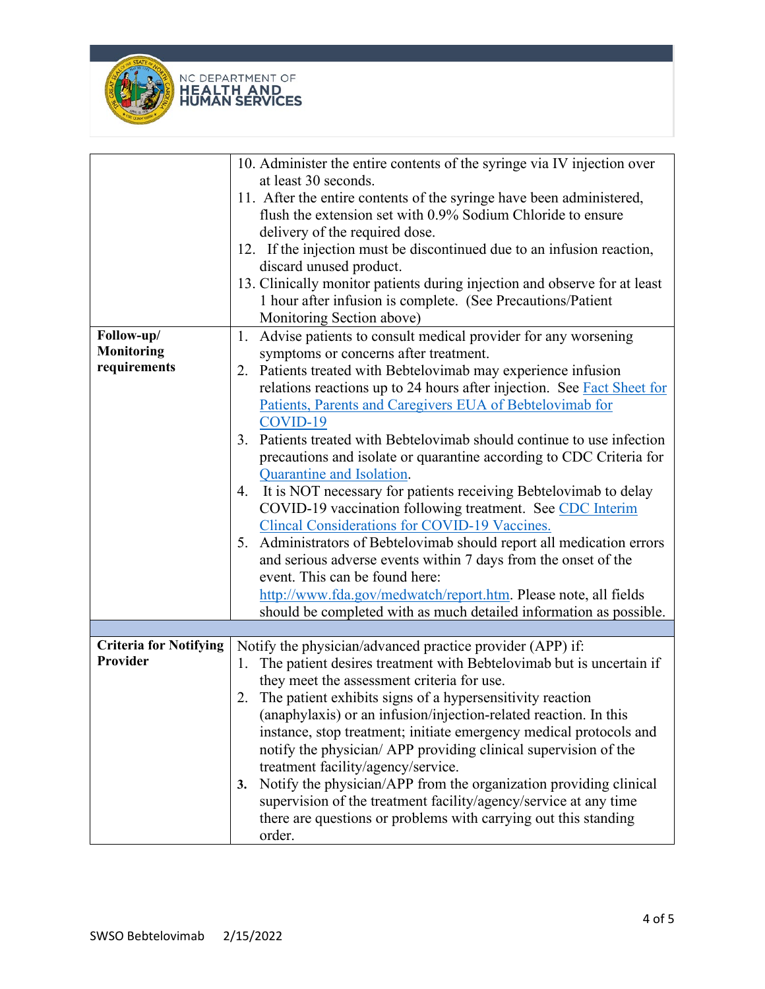



|                               | 10. Administer the entire contents of the syringe via IV injection over<br>at least 30 seconds.                                                                       |
|-------------------------------|-----------------------------------------------------------------------------------------------------------------------------------------------------------------------|
|                               | 11. After the entire contents of the syringe have been administered,<br>flush the extension set with 0.9% Sodium Chloride to ensure<br>delivery of the required dose. |
|                               | 12. If the injection must be discontinued due to an infusion reaction,                                                                                                |
|                               | discard unused product.                                                                                                                                               |
|                               | 13. Clinically monitor patients during injection and observe for at least                                                                                             |
|                               | 1 hour after infusion is complete. (See Precautions/Patient                                                                                                           |
|                               | Monitoring Section above)                                                                                                                                             |
| Follow-up/                    | Advise patients to consult medical provider for any worsening<br>1.                                                                                                   |
| <b>Monitoring</b>             | symptoms or concerns after treatment.                                                                                                                                 |
| requirements                  | 2. Patients treated with Bebtelovimab may experience infusion                                                                                                         |
|                               | relations reactions up to 24 hours after injection. See Fact Sheet for                                                                                                |
|                               | Patients, Parents and Caregivers EUA of Bebtelovimab for                                                                                                              |
|                               | COVID-19                                                                                                                                                              |
|                               | 3. Patients treated with Bebtelovimab should continue to use infection                                                                                                |
|                               | precautions and isolate or quarantine according to CDC Criteria for<br>Quarantine and Isolation.                                                                      |
|                               | It is NOT necessary for patients receiving Bebtelovimab to delay<br>4.                                                                                                |
|                               | COVID-19 vaccination following treatment. See CDC Interim                                                                                                             |
|                               | <b>Clincal Considerations for COVID-19 Vaccines.</b>                                                                                                                  |
|                               | 5. Administrators of Bebtelovimab should report all medication errors                                                                                                 |
|                               | and serious adverse events within 7 days from the onset of the                                                                                                        |
|                               | event. This can be found here:                                                                                                                                        |
|                               | http://www.fda.gov/medwatch/report.htm. Please note, all fields                                                                                                       |
|                               | should be completed with as much detailed information as possible.                                                                                                    |
|                               |                                                                                                                                                                       |
| <b>Criteria for Notifying</b> | Notify the physician/advanced practice provider (APP) if:                                                                                                             |
| Provider                      | The patient desires treatment with Bebtelovimab but is uncertain if<br>1.                                                                                             |
|                               | they meet the assessment criteria for use.                                                                                                                            |
|                               | 2. The patient exhibits signs of a hypersensitivity reaction                                                                                                          |
|                               | (anaphylaxis) or an infusion/injection-related reaction. In this                                                                                                      |
|                               | instance, stop treatment; initiate emergency medical protocols and                                                                                                    |
|                               | notify the physician/ APP providing clinical supervision of the                                                                                                       |
|                               | treatment facility/agency/service.<br>Notify the physician/APP from the organization providing clinical<br>3.                                                         |
|                               | supervision of the treatment facility/agency/service at any time                                                                                                      |
|                               | there are questions or problems with carrying out this standing                                                                                                       |
|                               | order.                                                                                                                                                                |
|                               |                                                                                                                                                                       |